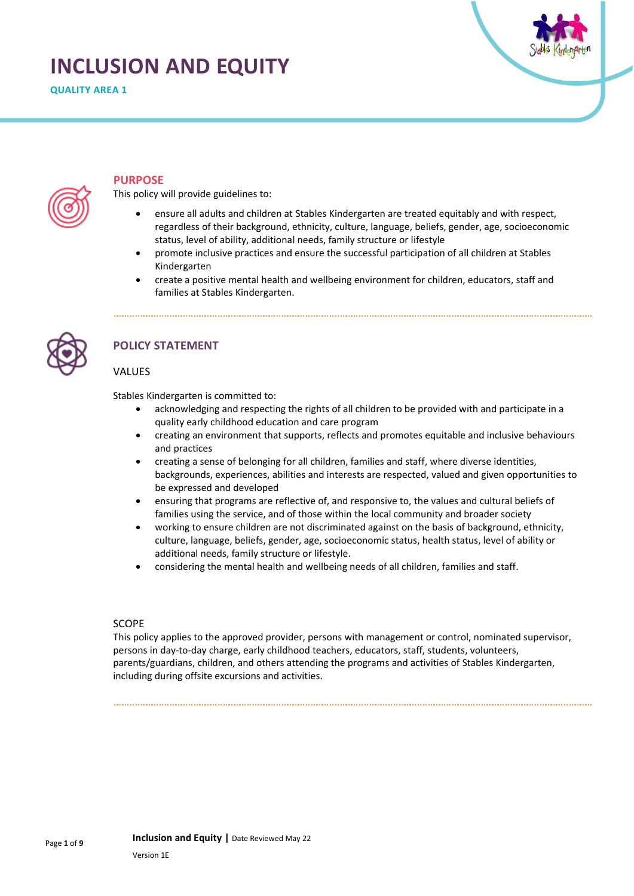# **INCLUSION AND EQUITY**

**QUALITY AREA 1**



## **PURPOSE**

This policy will provide guidelines to:

- ensure all adults and children at Stables Kindergarten are treated equitably and with respect, regardless of their background, ethnicity, culture, language, beliefs, gender, age, socioeconomic status, level of ability, additional needs, family structure or lifestyle
- promote inclusive practices and ensure the successful participation of all children at Stables Kindergarten
- create a positive mental health and wellbeing environment for children, educators, staff and families at Stables Kindergarten.



## **POLICY STATEMENT**

#### VALUES

Stables Kindergarten is committed to:

- acknowledging and respecting the rights of all children to be provided with and participate in a quality early childhood education and care program
- creating an environment that supports, reflects and promotes equitable and inclusive behaviours and practices
- creating a sense of belonging for all children, families and staff, where diverse identities, backgrounds, experiences, abilities and interests are respected, valued and given opportunities to be expressed and developed
- ensuring that programs are reflective of, and responsive to, the values and cultural beliefs of families using the service, and of those within the local community and broader society
- working to ensure children are not discriminated against on the basis of background, ethnicity, culture, language, beliefs, gender, age, socioeconomic status, health status, level of ability or additional needs, family structure or lifestyle.
- considering the mental health and wellbeing needs of all children, families and staff.

#### SCOPE

This policy applies to the approved provider, persons with management or control, nominated supervisor, persons in day-to-day charge, early childhood teachers, educators, staff, students, volunteers, parents/guardians, children, and others attending the programs and activities of Stables Kindergarten, including during offsite excursions and activities.

**Inclusion and Equity |** Date Reviewed May 22

Page **1** of **9**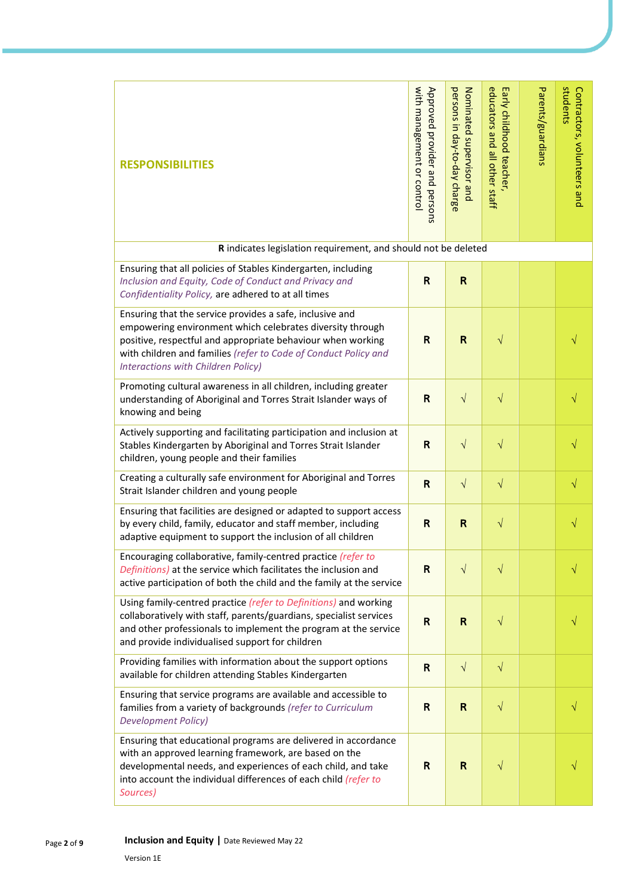| <b>RESPONSIBILITIES</b>                                                                                                                                                                                                                                                                       | with management or control<br>Approved provider and | persons in day-to-day charge<br>Nominated supervisor and | educators and all other staff<br>Early childhood teacher, | Parents/guardians | students<br>Contractors, volunteers and |
|-----------------------------------------------------------------------------------------------------------------------------------------------------------------------------------------------------------------------------------------------------------------------------------------------|-----------------------------------------------------|----------------------------------------------------------|-----------------------------------------------------------|-------------------|-----------------------------------------|
|                                                                                                                                                                                                                                                                                               | persons                                             |                                                          |                                                           |                   |                                         |
| R indicates legislation requirement, and should not be deleted                                                                                                                                                                                                                                |                                                     |                                                          |                                                           |                   |                                         |
| Ensuring that all policies of Stables Kindergarten, including<br>Inclusion and Equity, Code of Conduct and Privacy and<br>Confidentiality Policy, are adhered to at all times                                                                                                                 | $\mathsf{R}$                                        | $\mathsf{R}$                                             |                                                           |                   |                                         |
| Ensuring that the service provides a safe, inclusive and<br>empowering environment which celebrates diversity through<br>positive, respectful and appropriate behaviour when working<br>with children and families (refer to Code of Conduct Policy and<br>Interactions with Children Policy) | R                                                   | R                                                        | $\sqrt{}$                                                 |                   |                                         |
| Promoting cultural awareness in all children, including greater<br>understanding of Aboriginal and Torres Strait Islander ways of<br>knowing and being                                                                                                                                        | $\mathsf{R}$                                        | $\sqrt{}$                                                | $\sqrt{}$                                                 |                   | N                                       |
| Actively supporting and facilitating participation and inclusion at<br>Stables Kindergarten by Aboriginal and Torres Strait Islander<br>children, young people and their families                                                                                                             | R                                                   | $\sqrt{}$                                                | $\sqrt{}$                                                 |                   |                                         |
| Creating a culturally safe environment for Aboriginal and Torres<br>Strait Islander children and young people                                                                                                                                                                                 | R                                                   | $\sqrt{ }$                                               | $\sqrt{}$                                                 |                   | $\sqrt{}$                               |
| Ensuring that facilities are designed or adapted to support access<br>by every child, family, educator and staff member, including<br>adaptive equipment to support the inclusion of all children                                                                                             | $\mathsf{R}$                                        | R                                                        | $\sqrt{}$                                                 |                   |                                         |
| Encouraging collaborative, family-centred practice (refer to<br>Definitions) at the service which facilitates the inclusion and<br>active participation of both the child and the family at the service                                                                                       | R                                                   | $\sqrt{}$                                                | $\sqrt{}$                                                 |                   |                                         |
| Using family-centred practice (refer to Definitions) and working<br>collaboratively with staff, parents/guardians, specialist services<br>and other professionals to implement the program at the service<br>and provide individualised support for children                                  | $\mathsf{R}$                                        | $\mathsf R$                                              | $\sqrt{}$                                                 |                   |                                         |
| Providing families with information about the support options<br>available for children attending Stables Kindergarten                                                                                                                                                                        | $\mathsf{R}$                                        | $\sqrt{ }$                                               | $\sqrt{}$                                                 |                   |                                         |
| Ensuring that service programs are available and accessible to<br>families from a variety of backgrounds (refer to Curriculum<br><b>Development Policy)</b>                                                                                                                                   | $\mathsf{R}$                                        | $\mathsf{R}$                                             | $\sqrt{}$                                                 |                   |                                         |
| Ensuring that educational programs are delivered in accordance<br>with an approved learning framework, are based on the<br>developmental needs, and experiences of each child, and take<br>into account the individual differences of each child (refer to<br>Sources)                        | R                                                   | R                                                        | V                                                         |                   |                                         |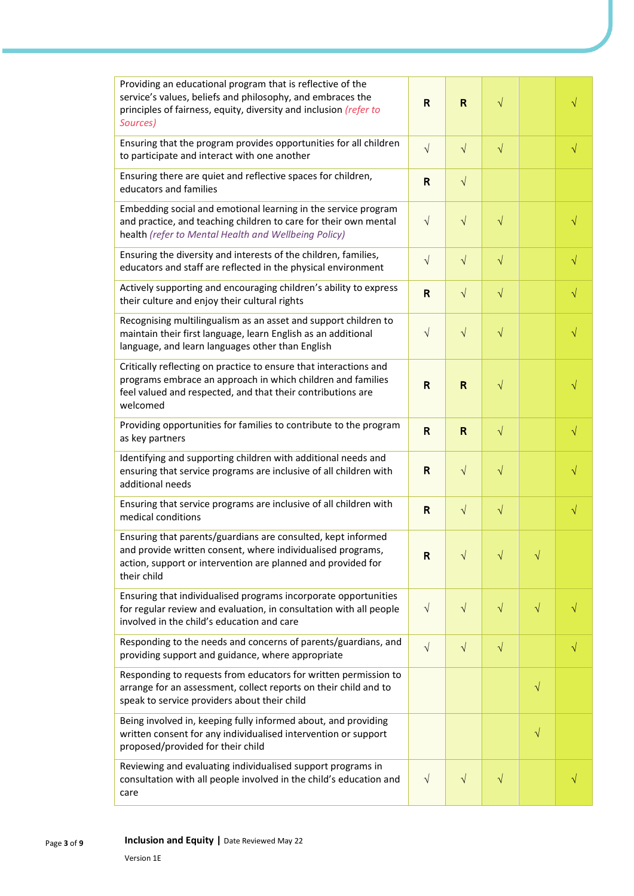| Providing an educational program that is reflective of the<br>service's values, beliefs and philosophy, and embraces the<br>principles of fairness, equity, diversity and inclusion (refer to<br>Sources)   | R            | R            | $\sqrt{}$    |           | $\sqrt{}$ |
|-------------------------------------------------------------------------------------------------------------------------------------------------------------------------------------------------------------|--------------|--------------|--------------|-----------|-----------|
| Ensuring that the program provides opportunities for all children<br>to participate and interact with one another                                                                                           | $\sqrt{ }$   | $\sqrt{ }$   | $\sqrt{ }$   |           | $\sqrt{}$ |
| Ensuring there are quiet and reflective spaces for children,<br>educators and families                                                                                                                      | $\mathsf{R}$ | $\sqrt{}$    |              |           |           |
| Embedding social and emotional learning in the service program<br>and practice, and teaching children to care for their own mental<br>health (refer to Mental Health and Wellbeing Policy)                  | $\sqrt{ }$   | $\sqrt{ }$   | $\sqrt{}$    |           | $\sqrt{}$ |
| Ensuring the diversity and interests of the children, families,<br>educators and staff are reflected in the physical environment                                                                            | $\sqrt{ }$   | $\sqrt{ }$   | $\sqrt{}$    |           | $\sqrt{}$ |
| Actively supporting and encouraging children's ability to express<br>their culture and enjoy their cultural rights                                                                                          | $\mathsf{R}$ | $\sqrt{ }$   | $\sqrt{}$    |           | $\sqrt{}$ |
| Recognising multilingualism as an asset and support children to<br>maintain their first language, learn English as an additional<br>language, and learn languages other than English                        | $\sqrt{ }$   | $\sqrt{ }$   | $\sqrt{}$    |           | $\sqrt{}$ |
| Critically reflecting on practice to ensure that interactions and<br>programs embrace an approach in which children and families<br>feel valued and respected, and that their contributions are<br>welcomed | $\mathsf{R}$ | R            | $\sqrt{}$    |           | $\sqrt{}$ |
| Providing opportunities for families to contribute to the program<br>as key partners                                                                                                                        | $\mathsf{R}$ | $\mathsf{R}$ | $\sqrt{}$    |           | $\sqrt{}$ |
| Identifying and supporting children with additional needs and<br>ensuring that service programs are inclusive of all children with<br>additional needs                                                      | R            | $\sqrt{ }$   | $\sqrt{}$    |           | $\sqrt{}$ |
| Ensuring that service programs are inclusive of all children with<br>medical conditions                                                                                                                     | $\mathsf{R}$ | $\sqrt{ }$   | $\sqrt{}$    |           | $\sqrt{}$ |
| Ensuring that parents/guardians are consulted, kept informed<br>and provide written consent, where individualised programs,<br>action, support or intervention are planned and provided for<br>their child  | R            |              | $\mathbf{I}$ |           |           |
| Ensuring that individualised programs incorporate opportunities<br>for regular review and evaluation, in consultation with all people<br>involved in the child's education and care                         | $\sqrt{ }$   | $\sqrt{}$    | $\sqrt{}$    | $\sqrt{}$ |           |
| Responding to the needs and concerns of parents/guardians, and<br>providing support and guidance, where appropriate                                                                                         | $\sqrt{ }$   | $\sqrt{}$    | $\sqrt{}$    |           | $\sqrt{}$ |
| Responding to requests from educators for written permission to<br>arrange for an assessment, collect reports on their child and to<br>speak to service providers about their child                         |              |              |              | $\sqrt{}$ |           |
| Being involved in, keeping fully informed about, and providing<br>written consent for any individualised intervention or support<br>proposed/provided for their child                                       |              |              |              | $\sqrt{}$ |           |
| Reviewing and evaluating individualised support programs in<br>consultation with all people involved in the child's education and<br>care                                                                   | $\sqrt{ }$   | $\sqrt{}$    | $\sqrt{}$    |           |           |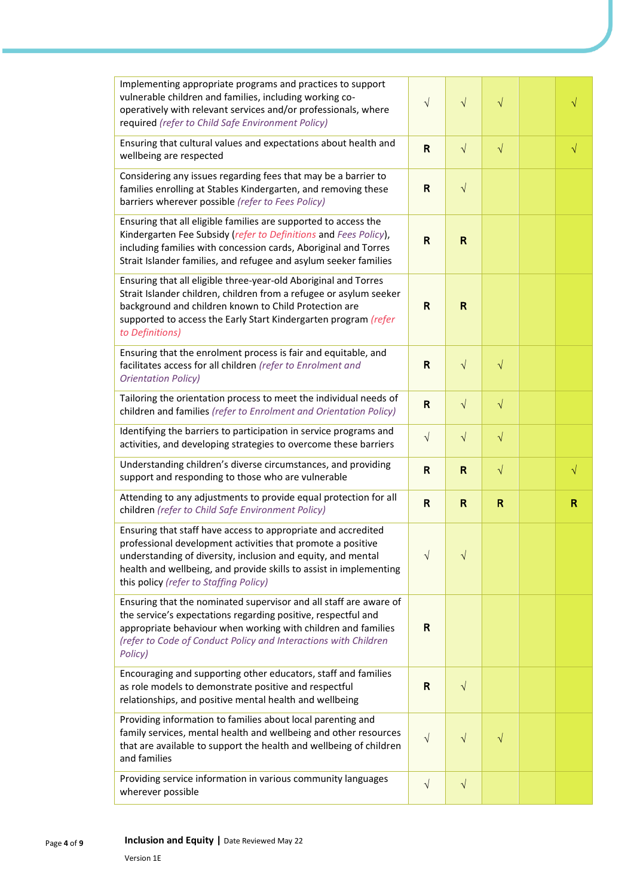| Implementing appropriate programs and practices to support<br>vulnerable children and families, including working co-<br>operatively with relevant services and/or professionals, where<br>required (refer to Child Safe Environment Policy)                                                                 | $\sqrt{}$               | $\sqrt{}$    | $\sqrt{}$ | V         |
|--------------------------------------------------------------------------------------------------------------------------------------------------------------------------------------------------------------------------------------------------------------------------------------------------------------|-------------------------|--------------|-----------|-----------|
| Ensuring that cultural values and expectations about health and<br>wellbeing are respected                                                                                                                                                                                                                   | $\mathsf{R}$            | $\sqrt{ }$   | $\sqrt{}$ | $\sqrt{}$ |
| Considering any issues regarding fees that may be a barrier to<br>families enrolling at Stables Kindergarten, and removing these<br>barriers wherever possible (refer to Fees Policy)                                                                                                                        | $\mathsf{R}$            | $\sqrt{ }$   |           |           |
| Ensuring that all eligible families are supported to access the<br>Kindergarten Fee Subsidy (refer to Definitions and Fees Policy),<br>including families with concession cards, Aboriginal and Torres<br>Strait Islander families, and refugee and asylum seeker families                                   | $\overline{\mathsf{R}}$ | R            |           |           |
| Ensuring that all eligible three-year-old Aboriginal and Torres<br>Strait Islander children, children from a refugee or asylum seeker<br>background and children known to Child Protection are<br>supported to access the Early Start Kindergarten program (refer<br>to Definitions)                         | R                       | R            |           |           |
| Ensuring that the enrolment process is fair and equitable, and<br>facilitates access for all children (refer to Enrolment and<br><b>Orientation Policy)</b>                                                                                                                                                  | $\mathsf{R}$            | $\sqrt{ }$   | $\sqrt{}$ |           |
| Tailoring the orientation process to meet the individual needs of<br>children and families (refer to Enrolment and Orientation Policy)                                                                                                                                                                       | $\mathsf{R}$            | $\sqrt{ }$   | $\sqrt{}$ |           |
| Identifying the barriers to participation in service programs and<br>activities, and developing strategies to overcome these barriers                                                                                                                                                                        | $\sqrt{ }$              | $\sqrt{}$    | $\sqrt{}$ |           |
| Understanding children's diverse circumstances, and providing<br>support and responding to those who are vulnerable                                                                                                                                                                                          | $\mathsf{R}$            | $\mathbf R$  | $\sqrt{}$ | $\sqrt{}$ |
| Attending to any adjustments to provide equal protection for all<br>children (refer to Child Safe Environment Policy)                                                                                                                                                                                        | $\mathsf{R}$            | $\mathsf{R}$ | R         | R         |
| Ensuring that staff have access to appropriate and accredited<br>professional development activities that promote a positive<br>understanding of diversity, inclusion and equity, and mental<br>health and wellbeing, and provide skills to assist in implementing<br>this policy (refer to Staffing Policy) | $\sqrt{ }$              | V            |           |           |
| Ensuring that the nominated supervisor and all staff are aware of<br>the service's expectations regarding positive, respectful and<br>appropriate behaviour when working with children and families<br>(refer to Code of Conduct Policy and Interactions with Children<br>Policy)                            | R                       |              |           |           |
| Encouraging and supporting other educators, staff and families<br>as role models to demonstrate positive and respectful<br>relationships, and positive mental health and wellbeing                                                                                                                           | $\mathsf{R}$            | $\sqrt{}$    |           |           |
| Providing information to families about local parenting and<br>family services, mental health and wellbeing and other resources<br>that are available to support the health and wellbeing of children<br>and families                                                                                        | $\sqrt{ }$              | $\sqrt{}$    | $\sqrt{}$ |           |
| Providing service information in various community languages<br>wherever possible                                                                                                                                                                                                                            | $\sqrt{ }$              | $\sqrt{}$    |           |           |
| Inclusion and Equity   Date Reviewed May 22<br>Version 1E                                                                                                                                                                                                                                                    |                         |              |           |           |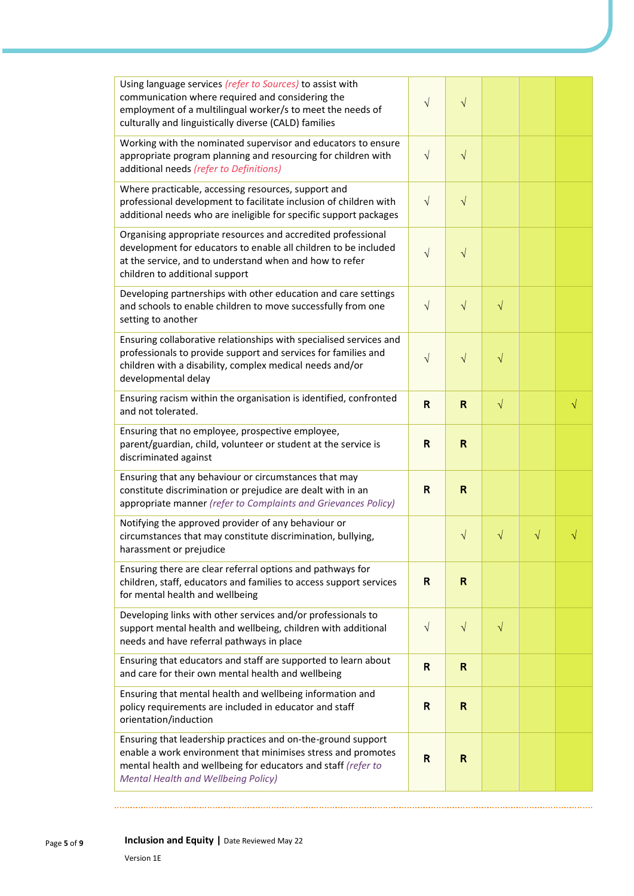| Using language services (refer to Sources) to assist with<br>communication where required and considering the<br>employment of a multilingual worker/s to meet the needs of<br>culturally and linguistically diverse (CALD) families        | $\sqrt{}$    | $\sqrt{}$    |           |           |
|---------------------------------------------------------------------------------------------------------------------------------------------------------------------------------------------------------------------------------------------|--------------|--------------|-----------|-----------|
| Working with the nominated supervisor and educators to ensure<br>appropriate program planning and resourcing for children with<br>additional needs (refer to Definitions)                                                                   | $\sqrt{}$    | $\sqrt{}$    |           |           |
| Where practicable, accessing resources, support and<br>professional development to facilitate inclusion of children with<br>additional needs who are ineligible for specific support packages                                               | $\sqrt{ }$   | $\sqrt{ }$   |           |           |
| Organising appropriate resources and accredited professional<br>development for educators to enable all children to be included<br>at the service, and to understand when and how to refer<br>children to additional support                | $\sqrt{}$    | $\sqrt{}$    |           |           |
| Developing partnerships with other education and care settings<br>and schools to enable children to move successfully from one<br>setting to another                                                                                        | $\sqrt{ }$   | $\sqrt{}$    | $\sqrt{}$ |           |
| Ensuring collaborative relationships with specialised services and<br>professionals to provide support and services for families and<br>children with a disability, complex medical needs and/or<br>developmental delay                     | $\sqrt{}$    | $\sqrt{}$    | $\sqrt{}$ |           |
| Ensuring racism within the organisation is identified, confronted<br>and not tolerated.                                                                                                                                                     | $\mathsf{R}$ | $\mathsf{R}$ | $\sqrt{}$ | $\sqrt{}$ |
| Ensuring that no employee, prospective employee,<br>parent/guardian, child, volunteer or student at the service is<br>discriminated against                                                                                                 | R            | $\mathsf{R}$ |           |           |
| Ensuring that any behaviour or circumstances that may<br>constitute discrimination or prejudice are dealt with in an<br>appropriate manner (refer to Complaints and Grievances Policy)                                                      | $\mathsf{R}$ | $\mathsf{R}$ |           |           |
| Notifying the approved provider of any behaviour or<br>circumstances that may constitute discrimination, bullying,<br>harassment or prejudice                                                                                               |              | $\sqrt{}$    | V         | V         |
| Ensuring there are clear referral options and pathways for<br>children, staff, educators and families to access support services<br>for mental health and wellbeing                                                                         | R            | R            |           |           |
| Developing links with other services and/or professionals to<br>support mental health and wellbeing, children with additional<br>needs and have referral pathways in place                                                                  | $\sqrt{ }$   | $\sqrt{ }$   | $\sqrt{}$ |           |
| Ensuring that educators and staff are supported to learn about<br>and care for their own mental health and wellbeing                                                                                                                        | $\mathbf R$  | $\mathbf R$  |           |           |
| Ensuring that mental health and wellbeing information and<br>policy requirements are included in educator and staff<br>orientation/induction                                                                                                | R            | R            |           |           |
| Ensuring that leadership practices and on-the-ground support<br>enable a work environment that minimises stress and promotes<br>mental health and wellbeing for educators and staff (refer to<br><b>Mental Health and Wellbeing Policy)</b> | $\mathsf{R}$ | R            |           |           |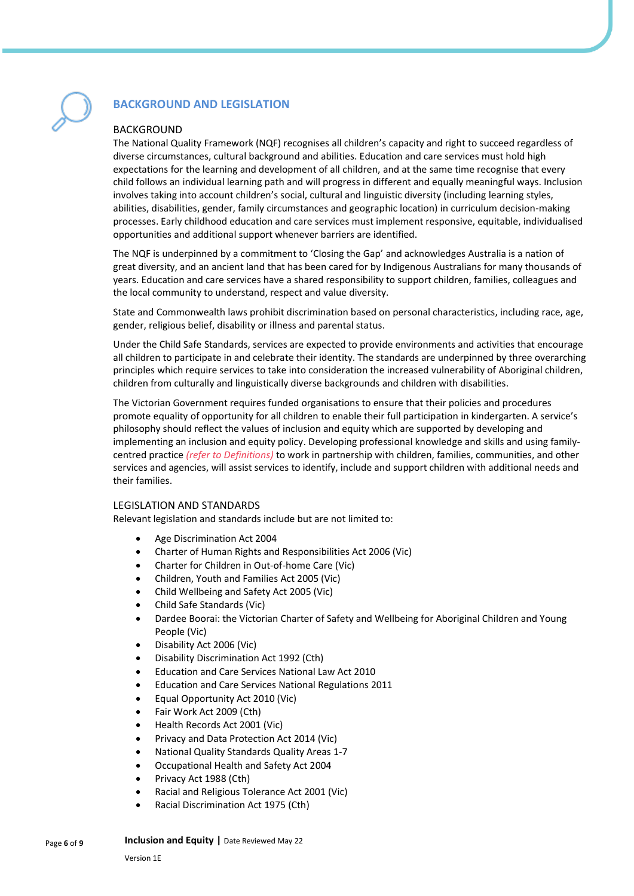

## **BACKGROUND AND LEGISLATION**

#### BACKGROUND

The National Quality Framework (NQF) recognises all children's capacity and right to succeed regardless of diverse circumstances, cultural background and abilities. Education and care services must hold high expectations for the learning and development of all children, and at the same time recognise that every child follows an individual learning path and will progress in different and equally meaningful ways. Inclusion involves taking into account children's social, cultural and linguistic diversity (including learning styles, abilities, disabilities, gender, family circumstances and geographic location) in curriculum decision-making processes. Early childhood education and care services must implement responsive, equitable, individualised opportunities and additional support whenever barriers are identified.

The NQF is underpinned by a commitment to 'Closing the Gap' and acknowledges Australia is a nation of great diversity, and an ancient land that has been cared for by Indigenous Australians for many thousands of years. Education and care services have a shared responsibility to support children, families, colleagues and the local community to understand, respect and value diversity.

State and Commonwealth laws prohibit discrimination based on personal characteristics, including race, age, gender, religious belief, disability or illness and parental status.

Under the Child Safe Standards, services are expected to provide environments and activities that encourage all children to participate in and celebrate their identity. The standards are underpinned by three overarching principles which require services to take into consideration the increased vulnerability of Aboriginal children, children from culturally and linguistically diverse backgrounds and children with disabilities.

The Victorian Government requires funded organisations to ensure that their policies and procedures promote equality of opportunity for all children to enable their full participation in kindergarten. A service's philosophy should reflect the values of inclusion and equity which are supported by developing and implementing an inclusion and equity policy. Developing professional knowledge and skills and using familycentred practice *(refer to Definitions)* to work in partnership with children, families, communities, and other services and agencies, will assist services to identify, include and support children with additional needs and their families.

### LEGISLATION AND STANDARDS

Relevant legislation and standards include but are not limited to:

- Age Discrimination Act 2004
- Charter of Human Rights and Responsibilities Act 2006 (Vic)
- Charter for Children in Out-of-home Care (Vic)
- Children, Youth and Families Act 2005 (Vic)
- Child Wellbeing and Safety Act 2005 (Vic)
- Child Safe Standards (Vic)
- Dardee Boorai: the Victorian Charter of Safety and Wellbeing for Aboriginal Children and Young People (Vic)
- Disability Act 2006 (Vic)
- Disability Discrimination Act 1992 (Cth)
- Education and Care Services National Law Act 2010
- Education and Care Services National Regulations 2011
- Equal Opportunity Act 2010 (Vic)
- Fair Work Act 2009 (Cth)
- Health Records Act 2001 (Vic)
- Privacy and Data Protection Act 2014 (Vic)
- National Quality Standards Quality Areas 1-7
- Occupational Health and Safety Act 2004
- Privacy Act 1988 (Cth)
- Racial and Religious Tolerance Act 2001 (Vic)
- Racial Discrimination Act 1975 (Cth)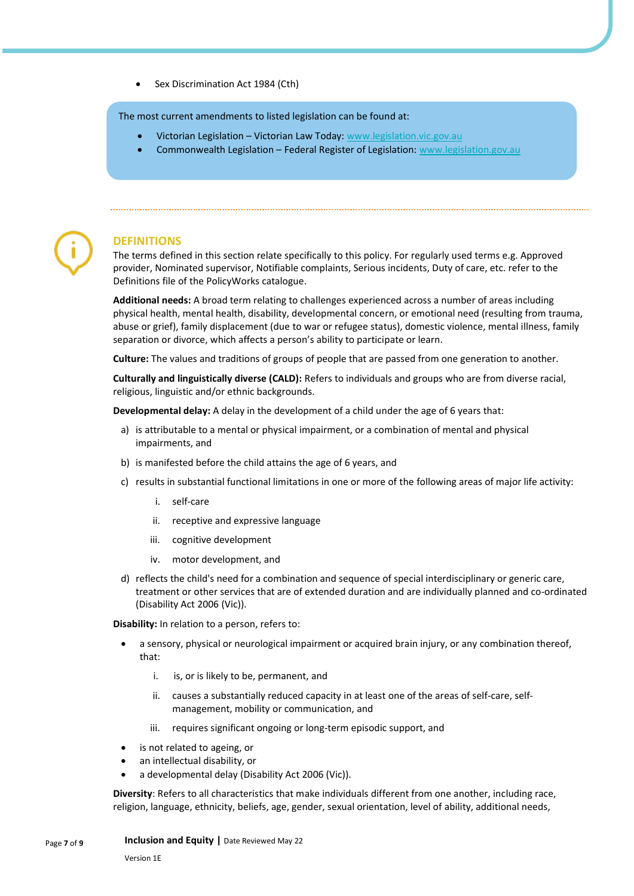Sex Discrimination Act 1984 (Cth)

The most current amendments to listed legislation can be found at:

- Victorian Legislation Victorian Law Today[: www.legislation.vic.gov.au](http://www.legislation.vic.gov.au/)
- Commonwealth Legislation Federal Register of Legislation: [www.legislation.gov.au](http://www.legislation.gov.au/)



## **DEFINITIONS**

The terms defined in this section relate specifically to this policy. For regularly used terms e.g. Approved provider, Nominated supervisor, Notifiable complaints, Serious incidents, Duty of care, etc. refer to the Definitions file of the PolicyWorks catalogue.

**Additional needs:** A broad term relating to challenges experienced across a number of areas including physical health, mental health, disability, developmental concern, or emotional need (resulting from trauma, abuse or grief), family displacement (due to war or refugee status), domestic violence, mental illness, family separation or divorce, which affects a person's ability to participate or learn.

**Culture:** The values and traditions of groups of people that are passed from one generation to another.

**Culturally and linguistically diverse (CALD):** Refers to individuals and groups who are from diverse racial, religious, linguistic and/or ethnic backgrounds.

**Developmental delay:** A delay in the development of a child under the age of 6 years that:

- a) is attributable to a mental or physical impairment, or a combination of mental and physical impairments, and
- b) is manifested before the child attains the age of 6 years, and
- c) results in substantial functional limitations in one or more of the following areas of major life activity:
	- i. self-care
	- ii. receptive and expressive language
	- iii. cognitive development
	- iv. motor development, and
- d) reflects the child's need for a combination and sequence of special interdisciplinary or generic care, treatment or other services that are of extended duration and are individually planned and co-ordinated (Disability Act 2006 (Vic)).

**Disability:** In relation to a person, refers to:

- a sensory, physical or neurological impairment or acquired brain injury, or any combination thereof, that:
	- i. is, or is likely to be, permanent, and
	- ii. causes a substantially reduced capacity in at least one of the areas of self-care, selfmanagement, mobility or communication, and
	- iii. requires significant ongoing or long-term episodic support, and
- is not related to ageing, or
- an intellectual disability, or
- a developmental delay (Disability Act 2006 (Vic)).

**Diversity**: Refers to all characteristics that make individuals different from one another, including race, religion, language, ethnicity, beliefs, age, gender, sexual orientation, level of ability, additional needs,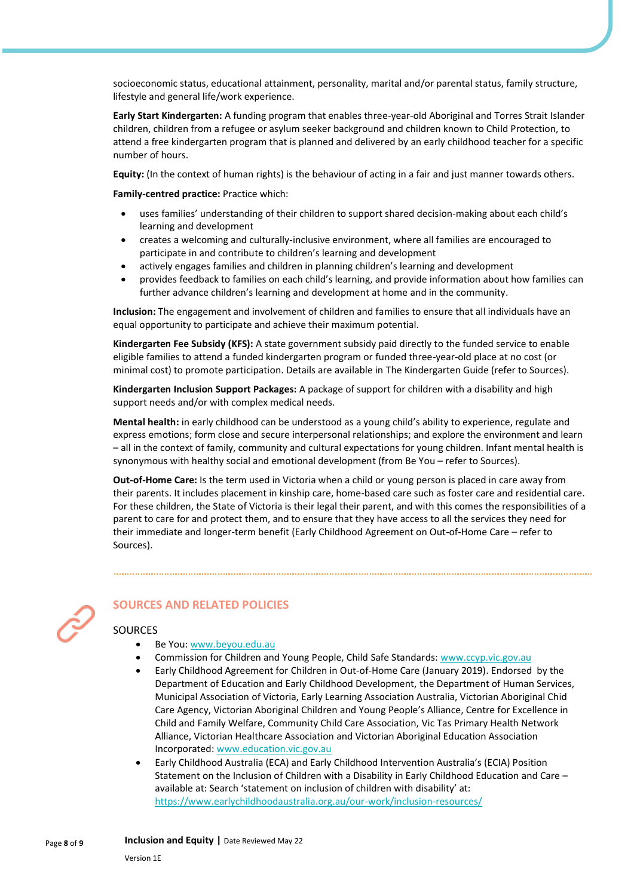socioeconomic status, educational attainment, personality, marital and/or parental status, family structure, lifestyle and general life/work experience.

**Early Start Kindergarten:** A funding program that enables three-year-old Aboriginal and Torres Strait Islander children, children from a refugee or asylum seeker background and children known to Child Protection, to attend a free kindergarten program that is planned and delivered by an early childhood teacher for a specific number of hours.

**Equity:** (In the context of human rights) is the behaviour of acting in a fair and just manner towards others.

**Family-centred practice:** Practice which:

- uses families' understanding of their children to support shared decision-making about each child's learning and development
- creates a welcoming and culturally-inclusive environment, where all families are encouraged to participate in and contribute to children's learning and development
- actively engages families and children in planning children's learning and development
- provides feedback to families on each child's learning, and provide information about how families can further advance children's learning and development at home and in the community.

**Inclusion:** The engagement and involvement of children and families to ensure that all individuals have an equal opportunity to participate and achieve their maximum potential.

**Kindergarten Fee Subsidy (KFS):** A state government subsidy paid directly to the funded service to enable eligible families to attend a funded kindergarten program or funded three-year-old place at no cost (or minimal cost) to promote participation. Details are available in The Kindergarten Guide (refer to Sources).

**Kindergarten Inclusion Support Packages:** A package of support for children with a disability and high support needs and/or with complex medical needs.

**Mental health:** in early childhood can be understood as a young child's ability to experience, regulate and express emotions; form close and secure interpersonal relationships; and explore the environment and learn – all in the context of family, community and cultural expectations for young children. Infant mental health is synonymous with healthy social and emotional development (from Be You – refer to Sources).

**Out-of-Home Care:** Is the term used in Victoria when a child or young person is placed in care away from their parents. It includes placement in kinship care, home-based care such as foster care and residential care. For these children, the State of Victoria is their legal their parent, and with this comes the responsibilities of a parent to care for and protect them, and to ensure that they have access to all the services they need for their immediate and longer-term benefit (Early Childhood Agreement on Out-of-Home Care – refer to Sources).



## **SOURCES AND RELATED POLICIES**

## **SOURCES**

- Be You[: www.beyou.edu.au](https://beyou.edu.au/)
- Commission for Children and Young People, Child Safe Standards[: www.ccyp.vic.gov.au](https://ccyp.vic.gov.au/)
- Early Childhood Agreement for Children in Out-of-Home Care (January 2019). Endorsed by the Department of Education and Early Childhood Development, the Department of Human Services, Municipal Association of Victoria, Early Learning Association Australia, Victorian Aboriginal Chid Care Agency, Victorian Aboriginal Children and Young People's Alliance, Centre for Excellence in Child and Family Welfare, Community Child Care Association, Vic Tas Primary Health Network Alliance, Victorian Healthcare Association and Victorian Aboriginal Education Association Incorporated: [www.education.vic.gov.au](https://www.education.vic.gov.au/Pages/default.aspx)
- Early Childhood Australia (ECA) and Early Childhood Intervention Australia's (ECIA) Position Statement on the Inclusion of Children with a Disability in Early Childhood Education and Care – available at: Search 'statement on inclusion of children with disability' at: <https://www.earlychildhoodaustralia.org.au/our-work/inclusion-resources/>